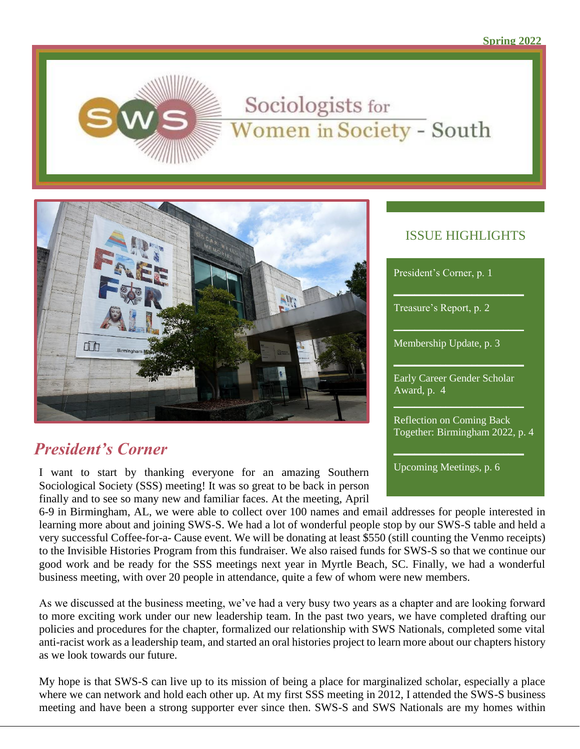

# Sociologists for Women in Society - South



# *President's Corner*

I want to start by thanking everyone for an amazing Southern Sociological Society (SSS) meeting! It was so great to be back in person finally and to see so many new and familiar faces. At the meeting, April

#### ISSUE HIGHLIGHTS

| President's Corner, p. 1                                            |
|---------------------------------------------------------------------|
| Treasure's Report, p. 2                                             |
| Membership Update, p. 3                                             |
| Early Career Gender Scholar<br>Award, p. 4                          |
| <b>Reflection on Coming Back</b><br>Together: Birmingham 2022, p. 4 |

Upcoming Meetings, p. 6

6-9 in Birmingham, AL, we were able to collect over 100 names and email addresses for people interested in learning more about and joining SWS-S. We had a lot of wonderful people stop by our SWS-S table and held a very successful Coffee-for-a- Cause event. We will be donating at least \$550 (still counting the Venmo receipts) to the Invisible Histories Program from this fundraiser. We also raised funds for SWS-S so that we continue our good work and be ready for the SSS meetings next year in Myrtle Beach, SC. Finally, we had a wonderful business meeting, with over 20 people in attendance, quite a few of whom were new members.

As we discussed at the business meeting, we've had a very busy two years as a chapter and are looking forward to more exciting work under our new leadership team. In the past two years, we have completed drafting our policies and procedures for the chapter, formalized our relationship with SWS Nationals, completed some vital anti-racist work as a leadership team, and started an oral histories project to learn more about our chapters history as we look towards our future.

My hope is that SWS-S can live up to its mission of being a place for marginalized scholar, especially a place where we can network and hold each other up. At my first SSS meeting in 2012, I attended the SWS-S business meeting and have been a strong supporter ever since then. SWS-S and SWS Nationals are my homes within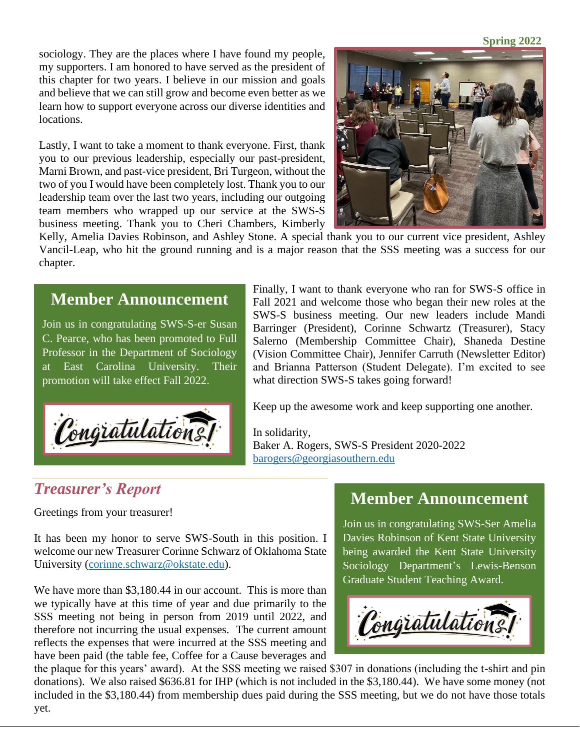**Spring 2022**

sociology. They are the places where I have found my people, my supporters. I am honored to have served as the president of this chapter for two years. I believe in our mission and goals and believe that we can still grow and become even better as we learn how to support everyone across our diverse identities and locations.

Lastly, I want to take a moment to thank everyone. First, thank you to our previous leadership, especially our past-president, Marni Brown, and past-vice president, Bri Turgeon, without the two of you I would have been completely lost. Thank you to our leadership team over the last two years, including our outgoing team members who wrapped up our service at the SWS-S business meeting. Thank you to Cheri Chambers, Kimberly



Kelly, Amelia Davies Robinson, and Ashley Stone. A special thank you to our current vice president, Ashley Vancil-Leap, who hit the ground running and is a major reason that the SSS meeting was a success for our chapter.

#### **Member Announcement**

Join us in congratulating SWS-S-er Susan C. Pearce, who has been promoted to Full Professor in the Department of Sociology at East Carolina University. Their promotion will take effect Fall 2022.



Finally, I want to thank everyone who ran for SWS-S office in Fall 2021 and welcome those who began their new roles at the SWS-S business meeting. Our new leaders include Mandi Barringer (President), Corinne Schwartz (Treasurer), Stacy Salerno (Membership Committee Chair), Shaneda Destine (Vision Committee Chair), Jennifer Carruth (Newsletter Editor) and Brianna Patterson (Student Delegate). I'm excited to see what direction SWS-S takes going forward!

Keep up the awesome work and keep supporting one another.

In solidarity, Baker A. Rogers, SWS-S President 2020-2022 [barogers@georgiasouthern.edu](mailto:barogers@georgiasouthern.edu)

#### *Treasurer's Report*

Greetings from your treasurer!

It has been my honor to serve SWS-South in this position. I welcome our new Treasurer Corinne Schwarz of Oklahoma State University [\(corinne.schwarz@okstate.edu\)](mailto:corinne.schwarz@okstate.edu).

We have more than \$3,180.44 in our account. This is more than we typically have at this time of year and due primarily to the SSS meeting not being in person from 2019 until 2022, and therefore not incurring the usual expenses. The current amount reflects the expenses that were incurred at the SSS meeting and have been paid (the table fee, Coffee for a Cause beverages and

# **Member Announcement**

Join us in congratulating SWS-Ser Amelia Davies Robinson of Kent State University being awarded the Kent State University Sociology Department's Lewis-Benson Graduate Student Teaching Award.



the plaque for this years' award). At the SSS meeting we raised \$307 in donations (including the t-shirt and pin donations). We also raised \$636.81 for IHP (which is not included in the \$3,180.44). We have some money (not included in the \$3,180.44) from membership dues paid during the SSS meeting, but we do not have those totals yet.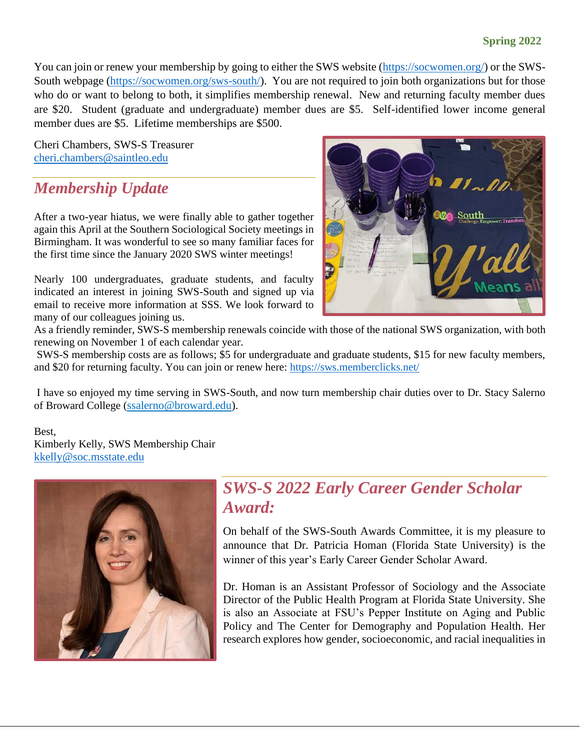#### **Spring 2022**

You can join or renew your membership by going to either the SWS website [\(https://socwomen.org/\)](https://socwomen.org/) or the SWS-South webpage [\(https://socwomen.org/sws-south/\)](https://socwomen.org/sws-south/). You are not required to join both organizations but for those who do or want to belong to both, it simplifies membership renewal. New and returning faculty member dues are \$20. Student (graduate and undergraduate) member dues are \$5. Self-identified lower income general member dues are \$5. Lifetime memberships are \$500.

Cheri Chambers, SWS-S Treasurer [cheri.chambers@saintleo.edu](mailto:cheri.chambers@saintleo.edu)

### *Membership Update*

After a two-year hiatus, we were finally able to gather together again this April at the Southern Sociological Society meetings in Birmingham. It was wonderful to see so many familiar faces for the first time since the January 2020 SWS winter meetings!

Nearly 100 undergraduates, graduate students, and faculty indicated an interest in joining SWS-South and signed up via email to receive more information at SSS. We look forward to many of our colleagues joining us.



As a friendly reminder, SWS-S membership renewals coincide with those of the national SWS organization, with both renewing on November 1 of each calendar year.

SWS-S membership costs are as follows; \$5 for undergraduate and graduate students, \$15 for new faculty members, and \$20 for returning faculty. You can join or renew here:<https://sws.memberclicks.net/>

I have so enjoyed my time serving in SWS-South, and now turn membership chair duties over to Dr. Stacy Salerno of Broward College ([ssalerno@broward.edu\)](mailto:ssalerno@broward.edu).

#### Best,

Kimberly Kelly, SWS Membership Chair [kkelly@soc.msstate.edu](mailto:kkelly@soc.msstate.edu)



### *SWS-S 2022 Early Career Gender Scholar Award:*

On behalf of the SWS-South Awards Committee, it is my pleasure to announce that Dr. Patricia Homan (Florida State University) is the winner of this year's Early Career Gender Scholar Award.

Dr. Homan is an Assistant Professor of Sociology and the Associate Director of the Public Health Program at Florida State University. She is also an Associate at FSU's Pepper Institute on Aging and Public Policy and The Center for Demography and Population Health. Her research explores how gender, socioeconomic, and racial inequalities in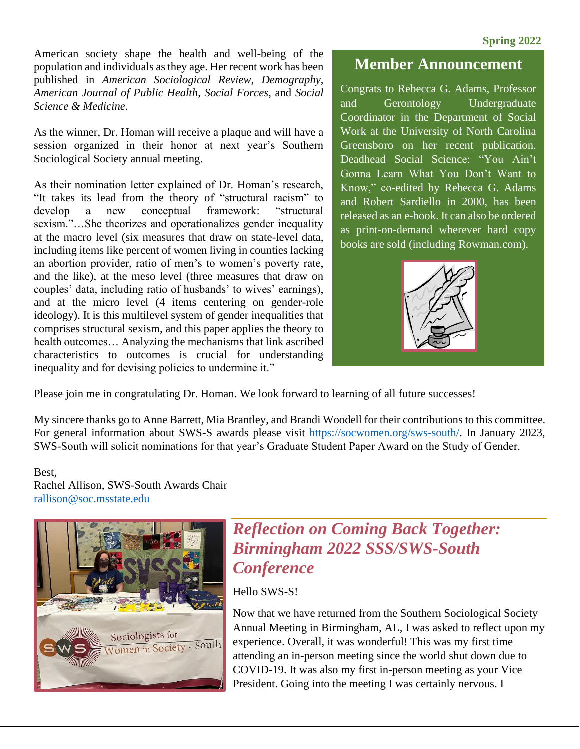American society shape the health and well-being of the population and individuals as they age. Her recent work has been published in *American Sociological Review*, *Demography*, *American Journal of Public Health*, *Social Forces*, and *Social Science & Medicine*.

As the winner, Dr. Homan will receive a plaque and will have a session organized in their honor at next year's Southern Sociological Society annual meeting.

As their nomination letter explained of Dr. Homan's research, "It takes its lead from the theory of "structural racism" to develop a new conceptual framework: "structural sexism."…She theorizes and operationalizes gender inequality at the macro level (six measures that draw on state-level data, including items like percent of women living in counties lacking an abortion provider, ratio of men's to women's poverty rate, and the like), at the meso level (three measures that draw on couples' data, including ratio of husbands' to wives' earnings), and at the micro level (4 items centering on gender-role ideology). It is this multilevel system of gender inequalities that comprises structural sexism, and this paper applies the theory to health outcomes… Analyzing the mechanisms that link ascribed characteristics to outcomes is crucial for understanding inequality and for devising policies to undermine it."

#### **Member Announcement**

Congrats to Rebecca G. Adams, Professor and Gerontology Undergraduate Coordinator in the Department of Social Work at the University of North Carolina Greensboro on her recent publication. Deadhead Social Science: "You Ain't Gonna Learn What You Don't Want to Know," co-edited by Rebecca G. Adams and Robert Sardiello in 2000, has been released as an e-book. It can also be ordered as print-on-demand wherever hard copy books are sold (including Rowman.com).



Please join me in congratulating Dr. Homan. We look forward to learning of all future successes!

My sincere thanks go to Anne Barrett, Mia Brantley, and Brandi Woodell for their contributions to this committee. For general information about SWS-S awards please visit https://socwomen.org/sws-south/. In January 2023, SWS-South will solicit nominations for that year's Graduate Student Paper Award on the Study of Gender.

#### Best,

Rachel Allison, SWS-South Awards Chair rallison@soc.msstate.edu



### *Reflection on Coming Back Together: Birmingham 2022 SSS/SWS-South Conference*

Hello SWS-S!

Now that we have returned from the Southern Sociological Society Annual Meeting in Birmingham, AL, I was asked to reflect upon my experience. Overall, it was wonderful! This was my first time attending an in-person meeting since the world shut down due to COVID-19. It was also my first in-person meeting as your Vice President. Going into the meeting I was certainly nervous. I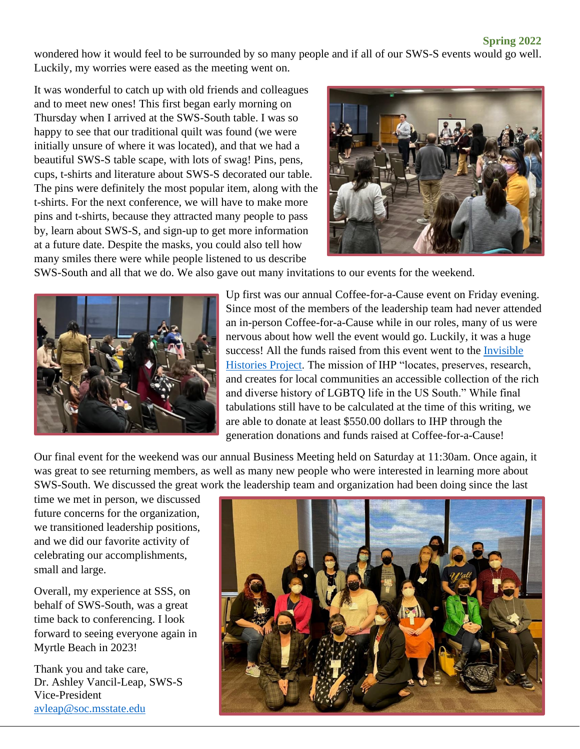#### **Spring 2022**

wondered how it would feel to be surrounded by so many people and if all of our SWS-S events would go well. Luckily, my worries were eased as the meeting went on.

It was wonderful to catch up with old friends and colleagues and to meet new ones! This first began early morning on Thursday when I arrived at the SWS-South table. I was so happy to see that our traditional quilt was found (we were initially unsure of where it was located), and that we had a beautiful SWS-S table scape, with lots of swag! Pins, pens, cups, t-shirts and literature about SWS-S decorated our table. The pins were definitely the most popular item, along with the t-shirts. For the next conference, we will have to make more pins and t-shirts, because they attracted many people to pass by, learn about SWS-S, and sign-up to get more information at a future date. Despite the masks, you could also tell how many smiles there were while people listened to us describe



SWS-South and all that we do. We also gave out many invitations to our events for the weekend.



Up first was our annual Coffee-for-a-Cause event on Friday evening. Since most of the members of the leadership team had never attended an in-person Coffee-for-a-Cause while in our roles, many of us were nervous about how well the event would go. Luckily, it was a huge success! All the funds raised from this event went to the [Invisible](https://invisiblehistory.org/)  [Histories Project.](https://invisiblehistory.org/) The mission of IHP "locates, preserves, research, and creates for local communities an accessible collection of the rich and diverse history of LGBTQ life in the US South." While final tabulations still have to be calculated at the time of this writing, we are able to donate at least \$550.00 dollars to IHP through the generation donations and funds raised at Coffee-for-a-Cause!

Our final event for the weekend was our annual Business Meeting held on Saturday at 11:30am. Once again, it was great to see returning members, as well as many new people who were interested in learning more about SWS-South. We discussed the great work the leadership team and organization had been doing since the last

time we met in person, we discussed future concerns for the organization, we transitioned leadership positions, and we did our favorite activity of celebrating our accomplishments, small and large.

Overall, my experience at SSS, on behalf of SWS-South, was a great time back to conferencing. I look forward to seeing everyone again in Myrtle Beach in 2023!

Thank you and take care, Dr. Ashley Vancil-Leap, SWS-S Vice-President [avleap@soc.msstate.edu](mailto:avleap@soc.msstate.edu)

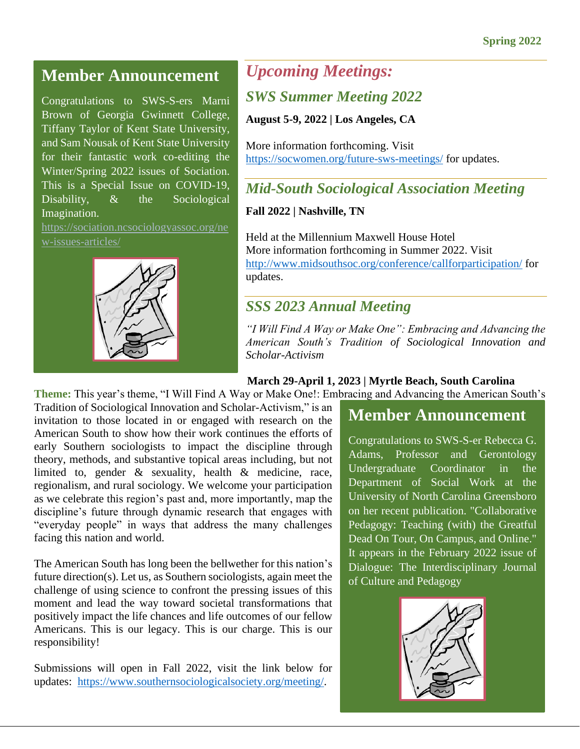### **Member Announcement**

Congratulations to SWS-S-ers Marni Brown of Georgia Gwinnett College, Tiffany Taylor of Kent State University, and Sam Nousak of Kent State University for their fantastic work co-editing the Winter/Spring 2022 issues of Sociation. This is a Special Issue on COVID-19, Disability,  $\&$  the Sociological Imagination.

[https://sociation.ncsociologyassoc.org/ne](https://sociation.ncsociologyassoc.org/new-issues-articles/) [w-issues-articles/](https://sociation.ncsociologyassoc.org/new-issues-articles/)



# *Upcoming Meetings:*

#### *SWS Summer Meeting 2022*

**August 5-9, 2022 | Los Angeles, CA**

More information forthcoming. Visit <https://socwomen.org/future-sws-meetings/> for updates.

### *Mid-South Sociological Association Meeting*

**Fall 2022 | Nashville, TN**

Held at the Millennium Maxwell House Hotel More information forthcoming in Summer 2022. Visit <http://www.midsouthsoc.org/conference/callforparticipation/> for updates.

### *SSS 2023 Annual Meeting*

*"I Will Find A Way or Make One": Embracing and Advancing the American South's Tradition of Sociological Innovation and Scholar-Activism*

#### **March 29-April 1, 2023 | Myrtle Beach, South Carolina**

**Theme:** This year's theme, "I Will Find A Way or Make One!: Embracing and Advancing the American South's

Tradition of Sociological Innovation and Scholar-Activism," is an invitation to those located in or engaged with research on the American South to show how their work continues the efforts of early Southern sociologists to impact the discipline through theory, methods, and substantive topical areas including, but not limited to, gender & sexuality, health & medicine, race, regionalism, and rural sociology. We welcome your participation as we celebrate this region's past and, more importantly, map the discipline's future through dynamic research that engages with "everyday people" in ways that address the many challenges facing this nation and world.

The American South has long been the bellwether for this nation's future direction(s). Let us, as Southern sociologists, again meet the challenge of using science to confront the pressing issues of this moment and lead the way toward societal transformations that positively impact the life chances and life outcomes of our fellow Americans. This is our legacy. This is our charge. This is our responsibility!

Submissions will open in Fall 2022, visit the link below for updates: [https://www.southernsociologicalsociety.org/meeting/.](https://www.southernsociologicalsociety.org/meeting/)

# **Member Announcement**

Congratulations to SWS-S-er Rebecca G. Adams, Professor and Gerontology Undergraduate Coordinator in the Department of Social Work at the University of North Carolina Greensboro on her recent publication. "Collaborative Pedagogy: Teaching (with) the Greatful Dead On Tour, On Campus, and Online." It appears in the February 2022 issue of Dialogue: The Interdisciplinary Journal of Culture and Pedagogy